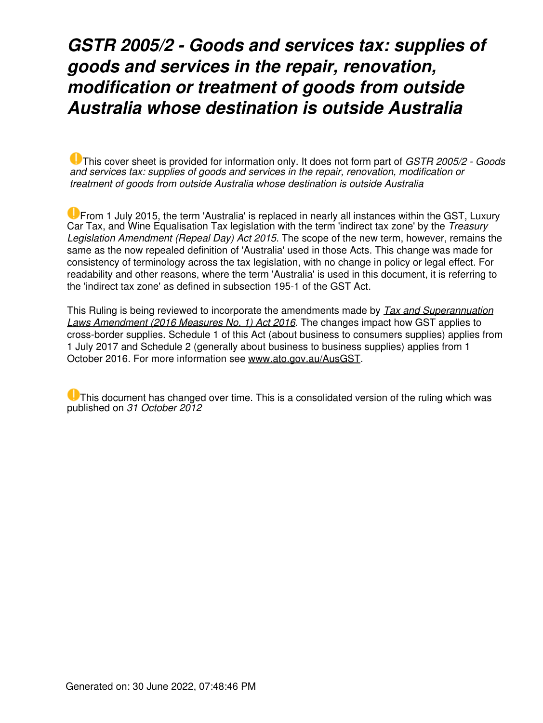### *GSTR 2005/2 - Goods and services tax: supplies of goods and services in the repair, renovation, modification or treatment of goods from outside Australia whose destination is outside Australia*

This cover sheet is provided for information only. It does not form part of *GSTR 2005/2 - Goods and services tax: supplies of goods and services in the repair, renovation, modification or treatment of goods from outside Australia whose destination is outside Australia*

From 1 July 2015, the term 'Australia' is replaced in nearly all instances within the GST, Luxury Car Tax, and Wine Equalisation Tax legislation with the term 'indirect tax zone' by the *Treasury Legislation Amendment (Repeal Day) Act 2015*. The scope of the new term, however, remains the same as the now repealed definition of 'Australia' used in those Acts. This change was made for consistency of terminology across the tax legislation, with no change in policy or legal effect. For readability and other reasons, where the term 'Australia' is used in this document, it is referring to the 'indirect tax zone' as defined in subsection 195-1 of the GST Act.

This Ruling is being reviewed to incorporate the amendments made by *Tax and Superannuation Laws Amendment (2016 Measures No. 1) Act 2016*. The changes impact how GST applies to cross-border supplies. Schedule 1 of this Act (about business to consumers supplies) applies from 1 July 2017 and Schedule 2 (generally about business to business supplies) applies from 1 October 2016. For more information see [www.ato.gov.au/AusGST](https://www.ato.gov.au/Business/International-tax-for-business/In-detail/Doing-business-in-Australia/International-taxation-of-goods-and-services-supplied-to-Australia/).

**U** This document has changed over time. This is a consolidated version of the ruling which was published on *31 October 2012*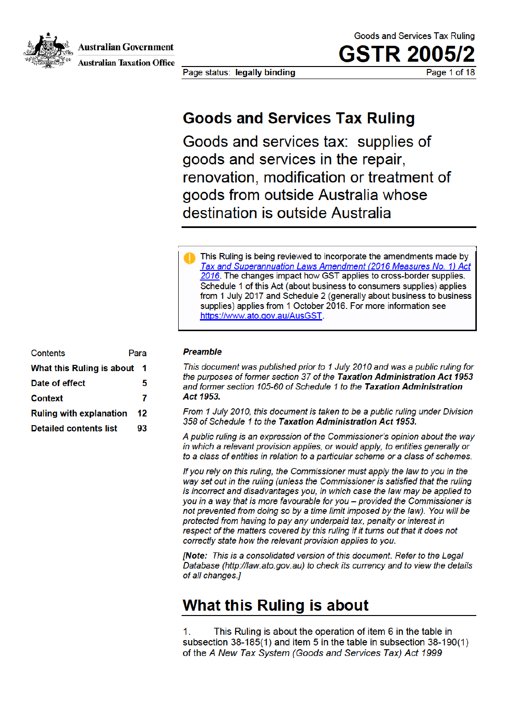**Australian Government** 



**Australian Taxation Office** 

Page status: legally binding

Goods and Services Tax Ruling

**GSTR 2005** Page 1 of 18

### **Goods and Services Tax Ruling**

Goods and services tax: supplies of goods and services in the repair. renovation, modification or treatment of goods from outside Australia whose destination is outside Australia

This Ruling is being reviewed to incorporate the amendments made by Tax and Superannuation Laws Amendment (2016 Measures No. 1) Act 2016. The changes impact how GST applies to cross-border supplies. Schedule 1 of this Act (about business to consumers supplies) applies from 1 July 2017 and Schedule 2 (generally about business to business supplies) applies from 1 October 2016. For more information see https://www.ato.gov.au/AusGST

| Contents<br>Para               |    |
|--------------------------------|----|
| What this Ruling is about      | -1 |
| Date of effect                 | 5  |
| <b>Context</b>                 | 7  |
| <b>Ruling with explanation</b> | 12 |
| <b>Detailed contents list</b>  | 93 |

#### **Preamble**

This document was published prior to 1 July 2010 and was a public ruling for the purposes of former section 37 of the Taxation Administration Act 1953 and former section 105-60 of Schedule 1 to the Taxation Administration Act 1953.

From 1 July 2010, this document is taken to be a public ruling under Division 358 of Schedule 1 to the Taxation Administration Act 1953.

A public ruling is an expression of the Commissioner's opinion about the way in which a relevant provision applies, or would apply, to entities generally or to a class of entities in relation to a particular scheme or a class of schemes.

If you rely on this ruling, the Commissioner must apply the law to you in the way set out in the ruling (unless the Commissioner is satisfied that the ruling is incorrect and disadvantages you, in which case the law may be applied to you in a way that is more favourable for you - provided the Commissioner is not prevented from doing so by a time limit imposed by the law). You will be protected from having to pay any underpaid tax, penalty or interest in respect of the matters covered by this ruling if it turns out that it does not correctly state how the relevant provision applies to you.

[Note: This is a consolidated version of this document. Refer to the Legal Database (http://law.ato.gov.au) to check its currency and to view the details of all changes.]

### What this Ruling is about

This Ruling is about the operation of item 6 in the table in 1. subsection 38-185(1) and item 5 in the table in subsection 38-190(1) of the A New Tax System (Goods and Services Tax) Act 1999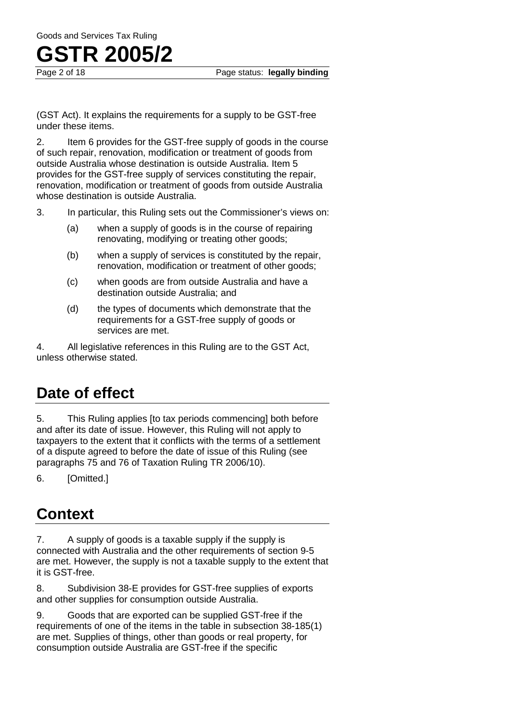(GST Act). It explains the requirements for a supply to be GST-free under these items.

2. Item 6 provides for the GST-free supply of goods in the course of such repair, renovation, modification or treatment of goods from outside Australia whose destination is outside Australia. Item 5 provides for the GST-free supply of services constituting the repair, renovation, modification or treatment of goods from outside Australia whose destination is outside Australia.

- 3. In particular, this Ruling sets out the Commissioner's views on:
	- (a) when a supply of goods is in the course of repairing renovating, modifying or treating other goods;
	- (b) when a supply of services is constituted by the repair, renovation, modification or treatment of other goods;
	- (c) when goods are from outside Australia and have a destination outside Australia; and
	- (d) the types of documents which demonstrate that the requirements for a GST-free supply of goods or services are met.

4. All legislative references in this Ruling are to the GST Act, unless otherwise stated.

### **Date of effect**

5. This Ruling applies [to tax periods commencing] both before and after its date of issue. However, this Ruling will not apply to taxpayers to the extent that it conflicts with the terms of a settlement of a dispute agreed to before the date of issue of this Ruling (see paragraphs 75 and 76 of Taxation Ruling TR 2006/10).

6. [Omitted.]

### **Context**

7. A supply of goods is a taxable supply if the supply is connected with Australia and the other requirements of section 9-5 are met. However, the supply is not a taxable supply to the extent that it is GST-free.

8. Subdivision 38-E provides for GST-free supplies of exports and other supplies for consumption outside Australia.

9. Goods that are exported can be supplied GST-free if the requirements of one of the items in the table in subsection 38-185(1) are met. Supplies of things, other than goods or real property, for consumption outside Australia are GST-free if the specific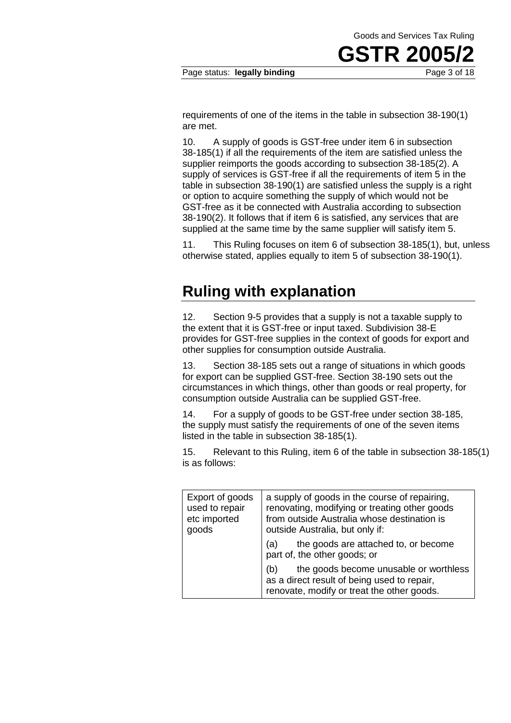**GSTR 2005/2**

requirements of one of the items in the table in subsection 38-190(1) are met.

10. A supply of goods is GST-free under item 6 in subsection 38-185(1) if all the requirements of the item are satisfied unless the supplier reimports the goods according to subsection 38-185(2). A supply of services is GST-free if all the requirements of item 5 in the table in subsection 38-190(1) are satisfied unless the supply is a right or option to acquire something the supply of which would not be GST-free as it be connected with Australia according to subsection 38-190(2). It follows that if item 6 is satisfied, any services that are supplied at the same time by the same supplier will satisfy item 5.

11. This Ruling focuses on item 6 of subsection 38-185(1), but, unless otherwise stated, applies equally to item 5 of subsection 38-190(1).

### **Ruling with explanation**

12. Section 9-5 provides that a supply is not a taxable supply to the extent that it is GST-free or input taxed. Subdivision 38-E provides for GST-free supplies in the context of goods for export and other supplies for consumption outside Australia.

13. Section 38-185 sets out a range of situations in which goods for export can be supplied GST-free. Section 38-190 sets out the circumstances in which things, other than goods or real property, for consumption outside Australia can be supplied GST-free.

14. For a supply of goods to be GST-free under section 38-185, the supply must satisfy the requirements of one of the seven items listed in the table in subsection 38-185(1).

15. Relevant to this Ruling, item 6 of the table in subsection 38-185(1) is as follows:

| Export of goods<br>used to repair<br>etc imported<br>goods | a supply of goods in the course of repairing,<br>renovating, modifying or treating other goods<br>from outside Australia whose destination is<br>outside Australia, but only if: |
|------------------------------------------------------------|----------------------------------------------------------------------------------------------------------------------------------------------------------------------------------|
|                                                            | the goods are attached to, or become<br>(a)<br>part of, the other goods; or                                                                                                      |
|                                                            | the goods become unusable or worthless<br>(b)<br>as a direct result of being used to repair,<br>renovate, modify or treat the other goods.                                       |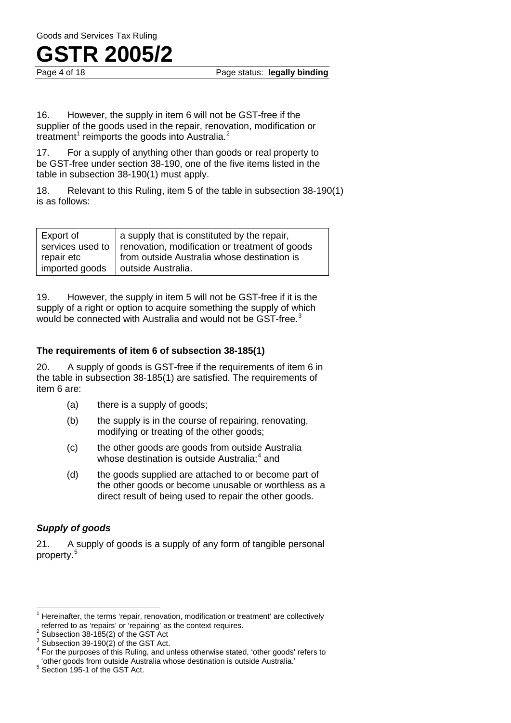

16. However, the supply in item 6 will not be GST-free if the supplier of the goods used in the repair, renovation, modification or treatment<sup>1</sup> reimports the goods into Australia.<sup>2</sup>

17. For a supply of anything other than goods or real property to be GST-free under section 38-190, one of the five items listed in the table in subsection 38-190(1) must apply.

18. Relevant to this Ruling, item 5 of the table in subsection 38-190(1) is as follows:

| Export of      | a supply that is constituted by the repair,                       |
|----------------|-------------------------------------------------------------------|
|                | services used to   renovation, modification or treatment of goods |
| repair etc     | from outside Australia whose destination is                       |
| imported goods | outside Australia.                                                |

19. However, the supply in item 5 will not be GST-free if it is the supply of a right or option to acquire something the supply of which would be connected with Australia and would not be GST-free.<sup>3</sup>

#### **The requirements of item 6 of subsection 38-185(1)**

20. A supply of goods is GST-free if the requirements of item 6 in the table in subsection 38-185(1) are satisfied. The requirements of item 6 are:

- (a) there is a supply of goods;
- (b) the supply is in the course of repairing, renovating, modifying or treating of the other goods;
- (c) the other goods are goods from outside Australia whose destination is outside Australia;<sup>4</sup> and
- (d) the goods supplied are attached to or become part of the other goods or become unusable or worthless as a direct result of being used to repair the other goods.

#### *Supply of goods*

21. A supply of goods is a supply of any form of tangible personal property.<sup>5</sup>

<sup>&</sup>lt;sup>1</sup> Hereinafter, the terms 'repair, renovation, modification or treatment' are collectively referred to as 'repairs' or 'repairing' as the context requires.<br>
<sup>2</sup> Subsection 38-185(2) of the GST Act<br>
<sup>3</sup> Subsection 39-190(2) of the GST Act<br>
<sup>4</sup> For the purposes of this Ruling, and unless otherwise stated, 'other g  $\overline{1}$ 

<sup>&#</sup>x27;other goods from outside Australia whose destination is outside Australia.' 5 Section 195-1 of the GST Act.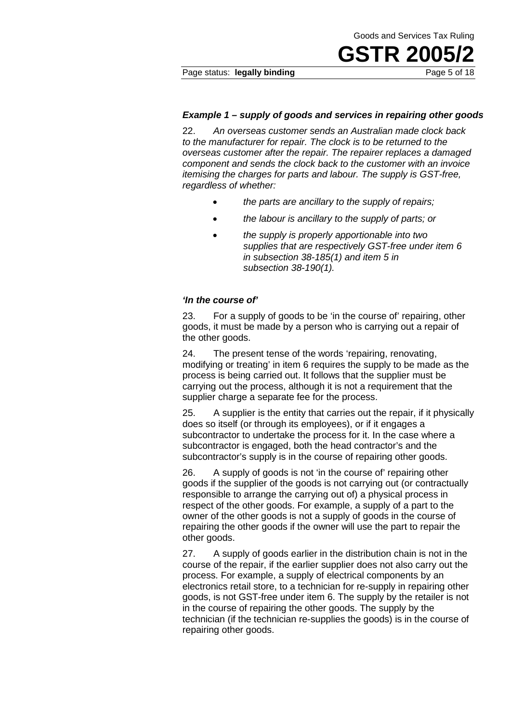**GSTR 2005/2**

#### *Example 1 – supply of goods and services in repairing other goods*

22. *An overseas customer sends an Australian made clock back to the manufacturer for repair. The clock is to be returned to the overseas customer after the repair. The repairer replaces a damaged component and sends the clock back to the customer with an invoice itemising the charges for parts and labour. The supply is GST-free, regardless of whether:*

- *the parts are ancillary to the supply of repairs;*
- *the labour is ancillary to the supply of parts; or*
- *the supply is properly apportionable into two supplies that are respectively GST-free under item 6 in subsection 38-185(1) and item 5 in subsection 38-190(1).*

#### *'In the course of'*

23. For a supply of goods to be 'in the course of' repairing, other goods, it must be made by a person who is carrying out a repair of the other goods.

24. The present tense of the words 'repairing, renovating, modifying or treating' in item 6 requires the supply to be made as the process is being carried out. It follows that the supplier must be carrying out the process, although it is not a requirement that the supplier charge a separate fee for the process.

25. A supplier is the entity that carries out the repair, if it physically does so itself (or through its employees), or if it engages a subcontractor to undertake the process for it. In the case where a subcontractor is engaged, both the head contractor's and the subcontractor's supply is in the course of repairing other goods.

26. A supply of goods is not 'in the course of' repairing other goods if the supplier of the goods is not carrying out (or contractually responsible to arrange the carrying out of) a physical process in respect of the other goods. For example, a supply of a part to the owner of the other goods is not a supply of goods in the course of repairing the other goods if the owner will use the part to repair the other goods.

27. A supply of goods earlier in the distribution chain is not in the course of the repair, if the earlier supplier does not also carry out the process. For example, a supply of electrical components by an electronics retail store, to a technician for re-supply in repairing other goods, is not GST-free under item 6. The supply by the retailer is not in the course of repairing the other goods. The supply by the technician (if the technician re-supplies the goods) is in the course of repairing other goods.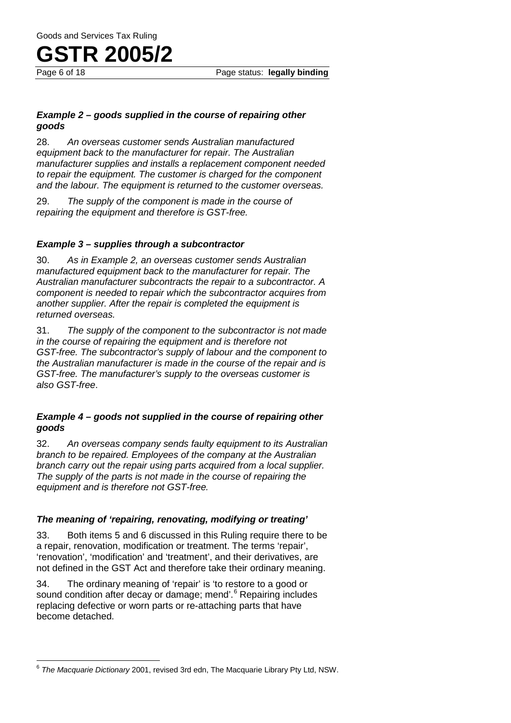

#### *Example 2 – goods supplied in the course of repairing other goods*

28. *An overseas customer sends Australian manufactured equipment back to the manufacturer for repair. The Australian manufacturer supplies and installs a replacement component needed to repair the equipment. The customer is charged for the component and the labour. The equipment is returned to the customer overseas.*

29. *The supply of the component is made in the course of repairing the equipment and therefore is GST-free.*

#### *Example 3 – supplies through a subcontractor*

30. *As in Example 2, an overseas customer sends Australian manufactured equipment back to the manufacturer for repair. The Australian manufacturer subcontracts the repair to a subcontractor. A component is needed to repair which the subcontractor acquires from another supplier. After the repair is completed the equipment is returned overseas.*

31. *The supply of the component to the subcontractor is not made in the course of repairing the equipment and is therefore not GST-free. The subcontractor's supply of labour and the component to the Australian manufacturer is made in the course of the repair and is GST-free. The manufacturer's supply to the overseas customer is also GST-free*.

#### *Example 4 – goods not supplied in the course of repairing other goods*

32. *An overseas company sends faulty equipment to its Australian branch to be repaired. Employees of the company at the Australian branch carry out the repair using parts acquired from a local supplier. The supply of the parts is not made in the course of repairing the equipment and is therefore not GST-free.*

#### *The meaning of 'repairing, renovating, modifying or treating'*

33. Both items 5 and 6 discussed in this Ruling require there to be a repair, renovation, modification or treatment. The terms 'repair', 'renovation', 'modification' and 'treatment', and their derivatives, are not defined in the GST Act and therefore take their ordinary meaning.

34. The ordinary meaning of 'repair' is 'to restore to a good or sound condition after decay or damage; mend'.<sup>6</sup> Repairing includes replacing defective or worn parts or re-attaching parts that have become detached.

<sup>6</sup> *The Macquarie Dictionary* 2001, revised 3rd edn, The Macquarie Library Pty Ltd, NSW.  $\overline{\phantom{a}}$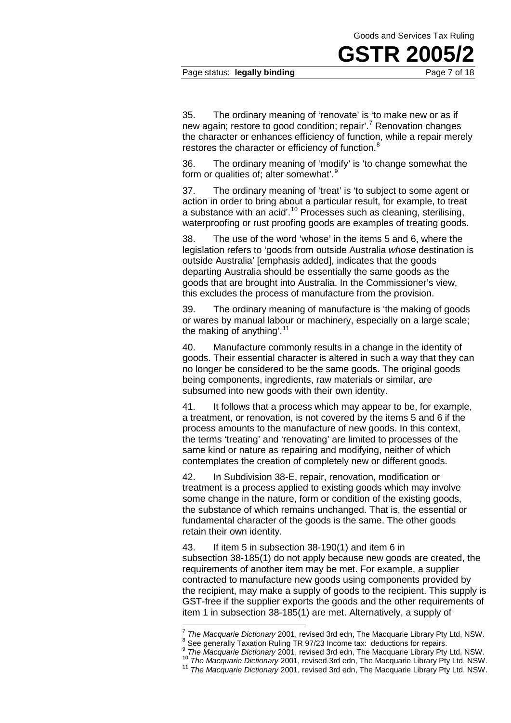**GSTR 20** 

#### Page status: **legally binding Page 7 of 18**

35. The ordinary meaning of 'renovate' is 'to make new or as if new again; restore to good condition; repair'.<sup>7</sup> Renovation changes the character or enhances efficiency of function, while a repair merely restores the character or efficiency of function.<sup>8</sup>

36. The ordinary meaning of 'modify' is 'to change somewhat the form or qualities of; alter somewhat'.<sup>9</sup>

37. The ordinary meaning of 'treat' is 'to subject to some agent or action in order to bring about a particular result, for example, to treat a substance with an acid'.<sup>10</sup> Processes such as cleaning, sterilising, waterproofing or rust proofing goods are examples of treating goods.

38. The use of the word 'whose' in the items 5 and 6, where the legislation refers to 'goods from outside Australia *whose* destination is outside Australia' [emphasis added], indicates that the goods departing Australia should be essentially the same goods as the goods that are brought into Australia. In the Commissioner's view, this excludes the process of manufacture from the provision.

39. The ordinary meaning of manufacture is 'the making of goods or wares by manual labour or machinery, especially on a large scale; the making of anything'. $11$ 

40. Manufacture commonly results in a change in the identity of goods. Their essential character is altered in such a way that they can no longer be considered to be the same goods. The original goods being components, ingredients, raw materials or similar, are subsumed into new goods with their own identity.

41. It follows that a process which may appear to be, for example, a treatment, or renovation, is not covered by the items 5 and 6 if the process amounts to the manufacture of new goods. In this context, the terms 'treating' and 'renovating' are limited to processes of the same kind or nature as repairing and modifying, neither of which contemplates the creation of completely new or different goods.

42. In Subdivision 38-E, repair, renovation, modification or treatment is a process applied to existing goods which may involve some change in the nature, form or condition of the existing goods, the substance of which remains unchanged. That is, the essential or fundamental character of the goods is the same. The other goods retain their own identity.

43. If item 5 in subsection 38-190(1) and item 6 in subsection 38-185(1) do not apply because new goods are created, the requirements of another item may be met. For example, a supplier contracted to manufacture new goods using components provided by the recipient, may make a supply of goods to the recipient. This supply is GST-free if the supplier exports the goods and the other requirements of item 1 in subsection 38-185(1) are met. Alternatively, a supply of

 $7$  The Macquarie Dictionary 2001, revised 3rd edn, The Macquarie Library Pty Ltd, NSW.

<sup>&</sup>lt;sup>8</sup> See generally Taxation Ruling TR 97/23 Income tax: deductions for repairs.<br>
<sup>9</sup> The Macquarie Dictionary 2001, revised 3rd edn, The Macquarie Library Pty Ltd, NSW.<br>
<sup>10</sup> The Macquarie Dictionary 2001, revised 3rd edn,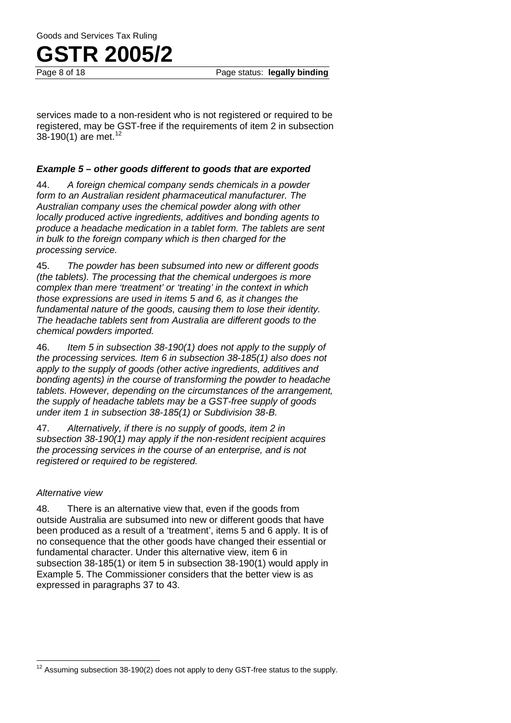

services made to a non-resident who is not registered or required to be registered, may be GST-free if the requirements of item 2 in subsection 38-190(1) are met.<sup>12</sup>

#### *Example 5 – other goods different to goods that are exported*

44. *A foreign chemical company sends chemicals in a powder form to an Australian resident pharmaceutical manufacturer. The Australian company uses the chemical powder along with other locally produced active ingredients, additives and bonding agents to produce a headache medication in a tablet form. The tablets are sent in bulk to the foreign company which is then charged for the processing service.*

45. *The powder has been subsumed into new or different goods (the tablets). The processing that the chemical undergoes is more complex than mere 'treatment' or 'treating' in the context in which those expressions are used in items 5 and 6, as it changes the fundamental nature of the goods, causing them to lose their identity. The headache tablets sent from Australia are different goods to the chemical powders imported.*

46. *Item 5 in subsection 38-190(1) does not apply to the supply of the processing services. Item 6 in subsection 38-185(1) also does not apply to the supply of goods (other active ingredients, additives and bonding agents) in the course of transforming the powder to headache tablets. However, depending on the circumstances of the arrangement, the supply of headache tablets may be a GST-free supply of goods under item 1 in subsection 38-185(1) or Subdivision 38-B.*

47. *Alternatively, if there is no supply of goods, item 2 in subsection 38-190(1) may apply if the non-resident recipient acquires the processing services in the course of an enterprise, and is not registered or required to be registered.*

#### *Alternative view*

48. There is an alternative view that, even if the goods from outside Australia are subsumed into new or different goods that have been produced as a result of a 'treatment', items 5 and 6 apply. It is of no consequence that the other goods have changed their essential or fundamental character. Under this alternative view, item 6 in subsection 38-185(1) or item 5 in subsection 38-190(1) would apply in Example 5. The Commissioner considers that the better view is as expressed in paragraphs 37 to 43.

 $12$  Assuming subsection 38-190(2) does not apply to deny GST-free status to the supply.  $\overline{1}$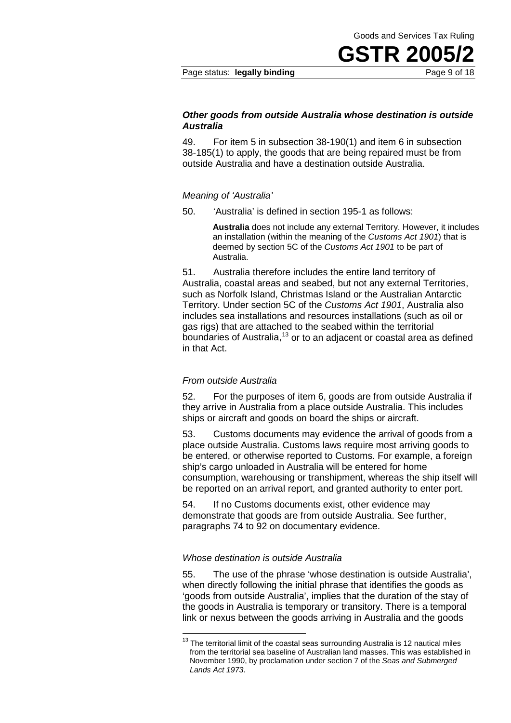**GSTR 2005/2**

#### *Other goods from outside Australia whose destination is outside Australia*

49. For item 5 in subsection 38-190(1) and item 6 in subsection 38-185(1) to apply, the goods that are being repaired must be from outside Australia and have a destination outside Australia.

#### *Meaning of 'Australia'*

50. 'Australia' is defined in section 195-1 as follows:

**Australia** does not include any external Territory. However, it includes an installation (within the meaning of the *Customs Act 1901*) that is deemed by section 5C of the *Customs Act 1901* to be part of Australia.

51. Australia therefore includes the entire land territory of Australia, coastal areas and seabed, but not any external Territories, such as Norfolk Island, Christmas Island or the Australian Antarctic Territory. Under section 5C of the *Customs Act 1901*, Australia also includes sea installations and resources installations (such as oil or gas rigs) that are attached to the seabed within the territorial boundaries of Australia,<sup>13</sup> or to an adjacent or coastal area as defined in that Act.

#### *From outside Australia*

52. For the purposes of item 6, goods are from outside Australia if they arrive in Australia from a place outside Australia. This includes ships or aircraft and goods on board the ships or aircraft.

53. Customs documents may evidence the arrival of goods from a place outside Australia. Customs laws require most arriving goods to be entered, or otherwise reported to Customs. For example, a foreign ship's cargo unloaded in Australia will be entered for home consumption, warehousing or transhipment, whereas the ship itself will be reported on an arrival report, and granted authority to enter port.

54. If no Customs documents exist, other evidence may demonstrate that goods are from outside Australia. See further, paragraphs 74 to 92 on documentary evidence.

#### *Whose destination is outside Australia*

 $\overline{a}$ 

55. The use of the phrase 'whose destination is outside Australia', when directly following the initial phrase that identifies the goods as 'goods from outside Australia', implies that the duration of the stay of the goods in Australia is temporary or transitory. There is a temporal link or nexus between the goods arriving in Australia and the goods

 $13$  The territorial limit of the coastal seas surrounding Australia is 12 nautical miles from the territorial sea baseline of Australian land masses. This was established in November 1990, by proclamation under section 7 of the *Seas and Submerged Lands Act 1973*.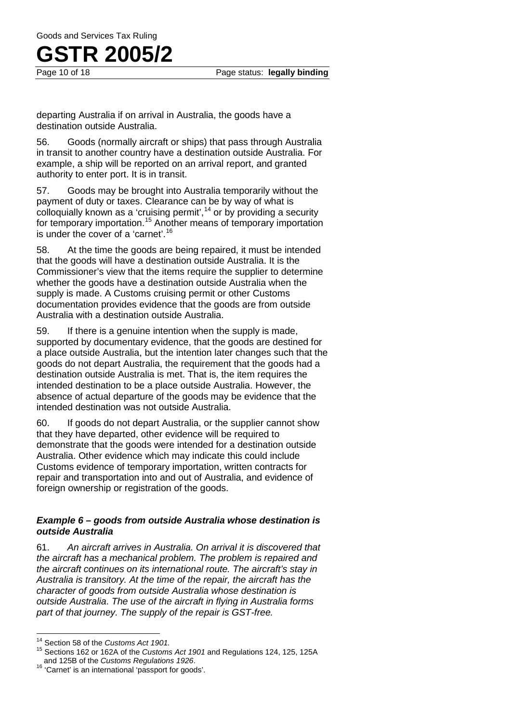Page status: **legally binding** 

departing Australia if on arrival in Australia, the goods have a destination outside Australia.

56. Goods (normally aircraft or ships) that pass through Australia in transit to another country have a destination outside Australia. For example, a ship will be reported on an arrival report, and granted authority to enter port. It is in transit.

57. Goods may be brought into Australia temporarily without the payment of duty or taxes. Clearance can be by way of what is colloquially known as a 'cruising permit',  $14$  or by providing a security for temporary importation.<sup>15</sup> Another means of temporary importation is under the cover of a 'carnet'.<sup>16</sup>

58. At the time the goods are being repaired, it must be intended that the goods will have a destination outside Australia. It is the Commissioner's view that the items require the supplier to determine whether the goods have a destination outside Australia when the supply is made. A Customs cruising permit or other Customs documentation provides evidence that the goods are from outside Australia with a destination outside Australia.

59. If there is a genuine intention when the supply is made, supported by documentary evidence, that the goods are destined for a place outside Australia, but the intention later changes such that the goods do not depart Australia, the requirement that the goods had a destination outside Australia is met. That is, the item requires the intended destination to be a place outside Australia. However, the absence of actual departure of the goods may be evidence that the intended destination was not outside Australia.

60. If goods do not depart Australia, or the supplier cannot show that they have departed, other evidence will be required to demonstrate that the goods were intended for a destination outside Australia. Other evidence which may indicate this could include Customs evidence of temporary importation, written contracts for repair and transportation into and out of Australia, and evidence of foreign ownership or registration of the goods.

#### *Example 6 – goods from outside Australia whose destination is outside Australia*

61. *An aircraft arrives in Australia. On arrival it is discovered that the aircraft has a mechanical problem. The problem is repaired and the aircraft continues on its international route. The aircraft's stay in Australia is transitory. At the time of the repair, the aircraft has the character of goods from outside Australia whose destination is outside Australia*. *The use of the aircraft in flying in Australia forms part of that journey. The supply of the repair is GST-free.*

<sup>&</sup>lt;sup>14</sup> Section 58 of the Customs Act 1901.

<sup>&</sup>lt;sup>15</sup> Sections 162 or 162A of the *Customs Act 1901* and Regulations 124, 125, 125A and 125B of the *Customs Regulations 1926*. 16 'Carnet' is an international 'passport for goods'.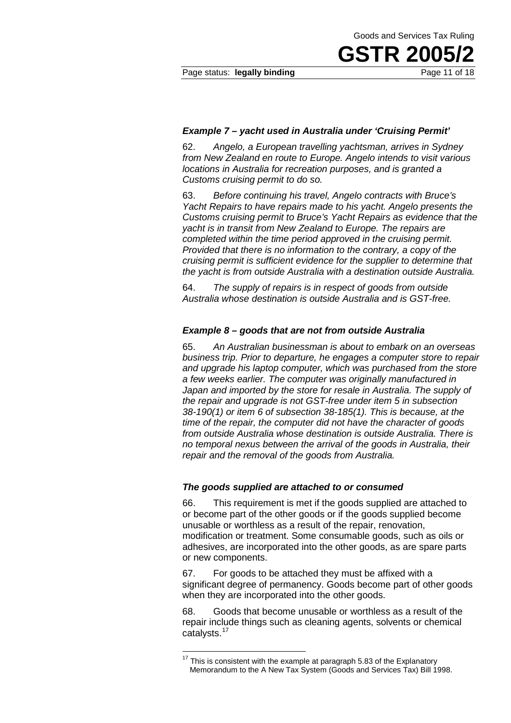Page status: **legally binding Page 11 of 18** 

**GSTR 2005/2**

#### *Example 7 – yacht used in Australia under 'Cruising Permit'*

62. *Angelo, a European travelling yachtsman, arrives in Sydney from New Zealand en route to Europe. Angelo intends to visit various locations in Australia for recreation purposes, and is granted a Customs cruising permit to do so.*

63. *Before continuing his travel, Angelo contracts with Bruce's Yacht Repairs to have repairs made to his yacht. Angelo presents the Customs cruising permit to Bruce's Yacht Repairs as evidence that the yacht is in transit from New Zealand to Europe. The repairs are completed within the time period approved in the cruising permit. Provided that there is no information to the contrary, a copy of the cruising permit is sufficient evidence for the supplier to determine that the yacht is from outside Australia with a destination outside Australia.*

64. *The supply of repairs is in respect of goods from outside Australia whose destination is outside Australia and is GST-free.*

#### *Example 8 – goods that are not from outside Australia*

65. *An Australian businessman is about to embark on an overseas business trip. Prior to departure, he engages a computer store to repair and upgrade his laptop computer, which was purchased from the store a few weeks earlier. The computer was originally manufactured in Japan and imported by the store for resale in Australia. The supply of the repair and upgrade is not GST-free under item 5 in subsection 38-190(1) or item 6 of subsection 38-185(1). This is because, at the time of the repair, the computer did not have the character of goods from outside Australia whose destination is outside Australia. There is no temporal nexus between the arrival of the goods in Australia, their repair and the removal of the goods from Australia.*

#### *The goods supplied are attached to or consumed*

66. This requirement is met if the goods supplied are attached to or become part of the other goods or if the goods supplied become unusable or worthless as a result of the repair, renovation, modification or treatment. Some consumable goods, such as oils or adhesives, are incorporated into the other goods, as are spare parts or new components.

67. For goods to be attached they must be affixed with a significant degree of permanency. Goods become part of other goods when they are incorporated into the other goods.

68. Goods that become unusable or worthless as a result of the repair include things such as cleaning agents, solvents or chemical catalysts.<sup>17</sup>

 $\overline{a}$ 

 $17$  This is consistent with the example at paragraph 5.83 of the Explanatory Memorandum to the A New Tax System (Goods and Services Tax) Bill 1998.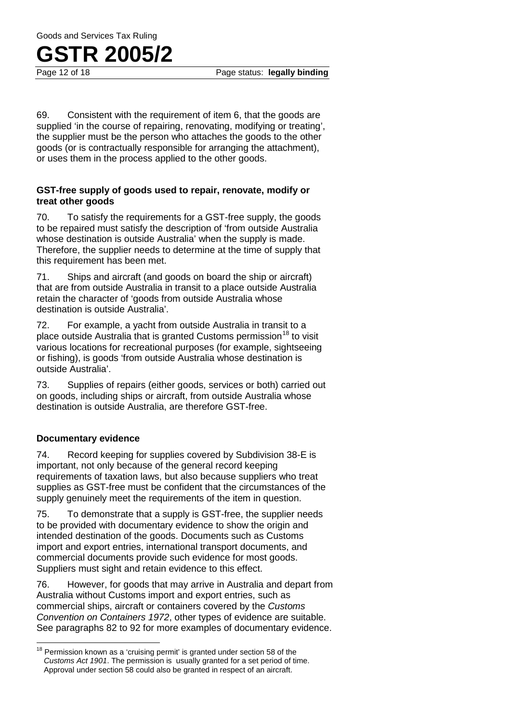69. Consistent with the requirement of item 6, that the goods are supplied 'in the course of repairing, renovating, modifying or treating', the supplier must be the person who attaches the goods to the other goods (or is contractually responsible for arranging the attachment), or uses them in the process applied to the other goods.

#### **GST-free supply of goods used to repair, renovate, modify or treat other goods**

70. To satisfy the requirements for a GST-free supply, the goods to be repaired must satisfy the description of 'from outside Australia whose destination is outside Australia' when the supply is made. Therefore, the supplier needs to determine at the time of supply that this requirement has been met.

71. Ships and aircraft (and goods on board the ship or aircraft) that are from outside Australia in transit to a place outside Australia retain the character of 'goods from outside Australia whose destination is outside Australia'.

72. For example, a yacht from outside Australia in transit to a place outside Australia that is granted Customs permission<sup>18</sup> to visit various locations for recreational purposes (for example, sightseeing or fishing), is goods 'from outside Australia whose destination is outside Australia'.

73. Supplies of repairs (either goods, services or both) carried out on goods, including ships or aircraft, from outside Australia whose destination is outside Australia, are therefore GST-free.

#### **Documentary evidence**

74. Record keeping for supplies covered by Subdivision 38-E is important, not only because of the general record keeping requirements of taxation laws, but also because suppliers who treat supplies as GST-free must be confident that the circumstances of the supply genuinely meet the requirements of the item in question.

75. To demonstrate that a supply is GST-free, the supplier needs to be provided with documentary evidence to show the origin and intended destination of the goods. Documents such as Customs import and export entries, international transport documents, and commercial documents provide such evidence for most goods. Suppliers must sight and retain evidence to this effect.

76. However, for goods that may arrive in Australia and depart from Australia without Customs import and export entries, such as commercial ships, aircraft or containers covered by the *Customs Convention on Containers 1972*, other types of evidence are suitable. See paragraphs 82 to 92 for more examples of documentary evidence.

 $18$  Permission known as a 'cruising permit' is granted under section 58 of the *Customs Act 1901*. The permission is usually granted for a set period of time. Approval under section 58 could also be granted in respect of an aircraft.  $\overline{1}$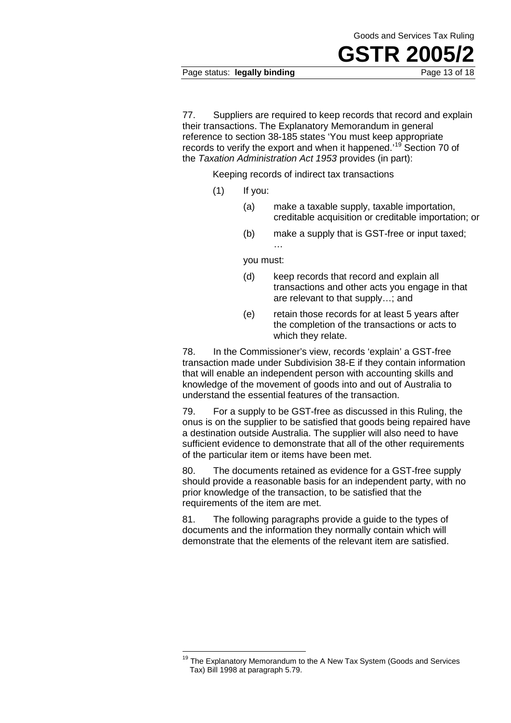**GSTR 2005/2**

77. Suppliers are required to keep records that record and explain their transactions. The Explanatory Memorandum in general reference to section 38-185 states 'You must keep appropriate records to verify the export and when it happened.<sup>19</sup> Section 70 of the *Taxation Administration Act 1953* provides (in part):

Keeping records of indirect tax transactions

- (1) If you:
	- (a) make a taxable supply, taxable importation, creditable acquisition or creditable importation; or
	- (b) make a supply that is GST-free or input taxed;

you must:

…

- (d) keep records that record and explain all transactions and other acts you engage in that are relevant to that supply…; and
- (e) retain those records for at least 5 years after the completion of the transactions or acts to which they relate.

78. In the Commissioner's view, records 'explain' a GST-free transaction made under Subdivision 38-E if they contain information that will enable an independent person with accounting skills and knowledge of the movement of goods into and out of Australia to understand the essential features of the transaction.

79. For a supply to be GST-free as discussed in this Ruling, the onus is on the supplier to be satisfied that goods being repaired have a destination outside Australia. The supplier will also need to have sufficient evidence to demonstrate that all of the other requirements of the particular item or items have been met.

80. The documents retained as evidence for a GST-free supply should provide a reasonable basis for an independent party, with no prior knowledge of the transaction, to be satisfied that the requirements of the item are met.

81. The following paragraphs provide a guide to the types of documents and the information they normally contain which will demonstrate that the elements of the relevant item are satisfied.

 $\overline{a}$ 

<sup>&</sup>lt;sup>19</sup> The Explanatory Memorandum to the A New Tax System (Goods and Services Tax) Bill 1998 at paragraph 5.79.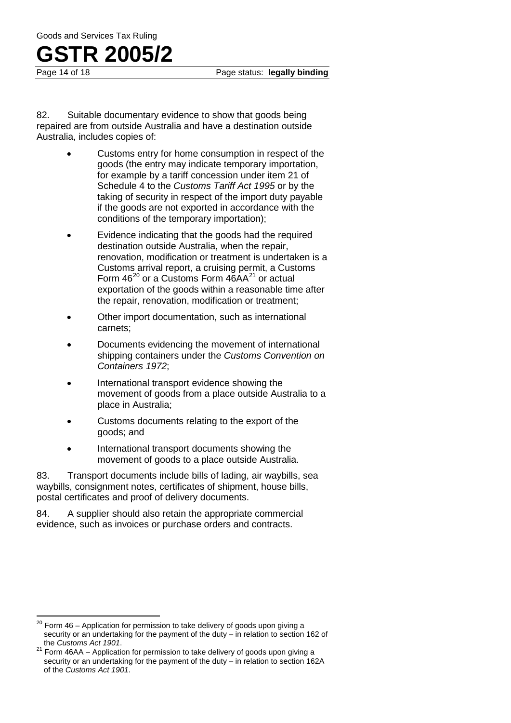Page status: **legally binding** 

82. Suitable documentary evidence to show that goods being repaired are from outside Australia and have a destination outside Australia, includes copies of:

- Customs entry for home consumption in respect of the goods (the entry may indicate temporary importation, for example by a tariff concession under item 21 of Schedule 4 to the *Customs Tariff Act 1995* or by the taking of security in respect of the import duty payable if the goods are not exported in accordance with the conditions of the temporary importation);
- Evidence indicating that the goods had the required destination outside Australia, when the repair, renovation, modification or treatment is undertaken is a Customs arrival report, a cruising permit, a Customs Form  $46^{20}$  or a Customs Form  $46AA^{21}$  or actual exportation of the goods within a reasonable time after the repair, renovation, modification or treatment;
- Other import documentation, such as international carnets;
- Documents evidencing the movement of international shipping containers under the *Customs Convention on Containers 1972*;
- International transport evidence showing the movement of goods from a place outside Australia to a place in Australia;
- Customs documents relating to the export of the goods; and
- International transport documents showing the movement of goods to a place outside Australia.

83. Transport documents include bills of lading, air waybills, sea waybills, consignment notes, certificates of shipment, house bills, postal certificates and proof of delivery documents.

84. A supplier should also retain the appropriate commercial evidence, such as invoices or purchase orders and contracts.

Form 46 – Application for permission to take delivery of goods upon giving a security or an undertaking for the payment of the duty – in relation to section 162 of the Customs Act 1901.  $\overline{\phantom{a}}$ 

<sup>&</sup>lt;sup>21</sup> Form 46AA – Application for permission to take delivery of goods upon giving a security or an undertaking for the payment of the duty – in relation to section 162A of the *Customs Act 1901*.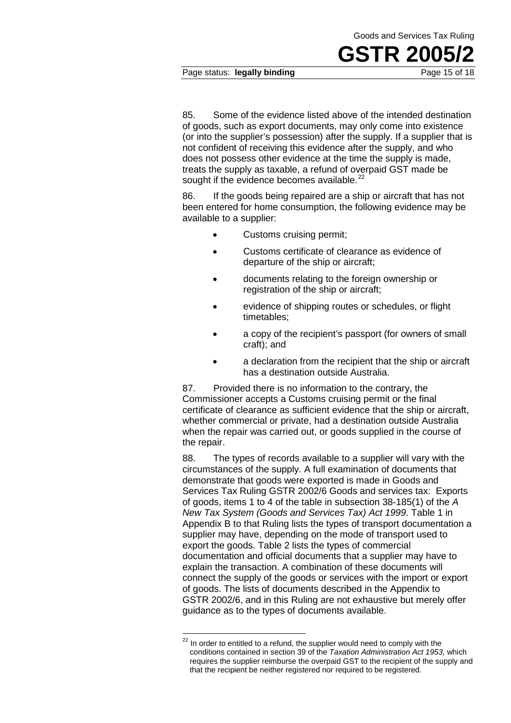Page status: legally binding

85. Some of the evidence listed above of the intended destination of goods, such as export documents, may only come into existence (or into the supplier's possession) after the supply. If a supplier that is not confident of receiving this evidence after the supply, and who does not possess other evidence at the time the supply is made, treats the supply as taxable, a refund of overpaid GST made be sought if the evidence becomes available.<sup>22</sup>

86. If the goods being repaired are a ship or aircraft that has not been entered for home consumption, the following evidence may be available to a supplier:

- Customs cruising permit:
- Customs certificate of clearance as evidence of departure of the ship or aircraft;
- documents relating to the foreign ownership or registration of the ship or aircraft;
- evidence of shipping routes or schedules, or flight timetables;
- a copy of the recipient's passport (for owners of small craft); and
- a declaration from the recipient that the ship or aircraft has a destination outside Australia.

87. Provided there is no information to the contrary, the Commissioner accepts a Customs cruising permit or the final certificate of clearance as sufficient evidence that the ship or aircraft, whether commercial or private, had a destination outside Australia when the repair was carried out, or goods supplied in the course of the repair.

88. The types of records available to a supplier will vary with the circumstances of the supply. A full examination of documents that demonstrate that goods were exported is made in Goods and Services Tax Ruling GSTR 2002/6 Goods and services tax: Exports of goods, items 1 to 4 of the table in subsection 38-185(1) of the *A New Tax System (Goods and Services Tax) Act 1999*. Table 1 in Appendix B to that Ruling lists the types of transport documentation a supplier may have, depending on the mode of transport used to export the goods. Table 2 lists the types of commercial documentation and official documents that a supplier may have to explain the transaction. A combination of these documents will connect the supply of the goods or services with the import or export of goods. The lists of documents described in the Appendix to GSTR 2002/6, and in this Ruling are not exhaustive but merely offer guidance as to the types of documents available.

 $\overline{\phantom{a}}$ 

 $22$  In order to entitled to a refund, the supplier would need to comply with the conditions contained in section 39 of the *Taxation Administration Act 1953,* which requires the supplier reimburse the overpaid GST to the recipient of the supply and that the recipient be neither registered nor required to be registered.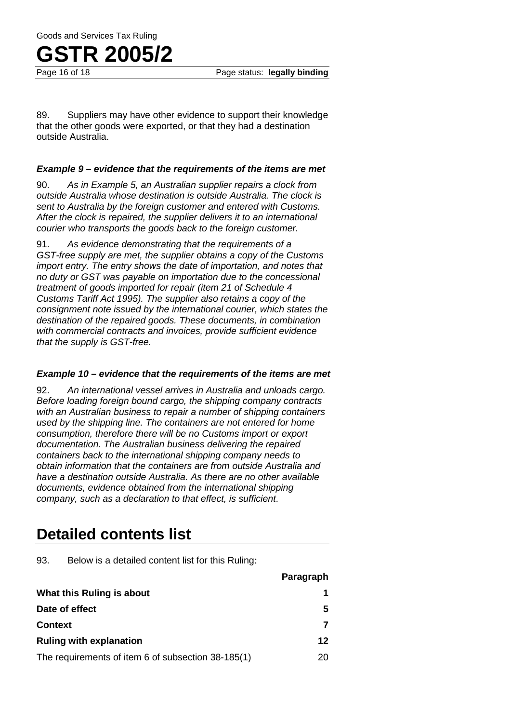Page status: **legally binding** 

89. Suppliers may have other evidence to support their knowledge that the other goods were exported, or that they had a destination outside Australia.

#### *Example 9 – evidence that the requirements of the items are met*

90. *As in Example 5, an Australian supplier repairs a clock from outside Australia whose destination is outside Australia. The clock is sent to Australia by the foreign customer and entered with Customs. After the clock is repaired, the supplier delivers it to an international courier who transports the goods back to the foreign customer.*

91. *As evidence demonstrating that the requirements of a GST-free supply are met, the supplier obtains a copy of the Customs import entry. The entry shows the date of importation, and notes that no duty or GST was payable on importation due to the concessional treatment of goods imported for repair (item 21 of Schedule 4 Customs Tariff Act 1995). The supplier also retains a copy of the consignment note issued by the international courier, which states the destination of the repaired goods. These documents, in combination with commercial contracts and invoices, provide sufficient evidence that the supply is GST-free.*

#### *Example 10 – evidence that the requirements of the items are met*

92. *An international vessel arrives in Australia and unloads cargo. Before loading foreign bound cargo, the shipping company contracts with an Australian business to repair a number of shipping containers used by the shipping line. The containers are not entered for home consumption, therefore there will be no Customs import or export documentation. The Australian business delivering the repaired containers back to the international shipping company needs to obtain information that the containers are from outside Australia and have a destination outside Australia. As there are no other available documents, evidence obtained from the international shipping company, such as a declaration to that effect, is sufficient*.

### **Detailed contents list**

93. Below is a detailed content list for this Ruling:

|                                                    | Paragraph |
|----------------------------------------------------|-----------|
| What this Ruling is about                          |           |
| Date of effect                                     | 5         |
| <b>Context</b>                                     |           |
| <b>Ruling with explanation</b>                     | 12        |
| The requirements of item 6 of subsection 38-185(1) | 20        |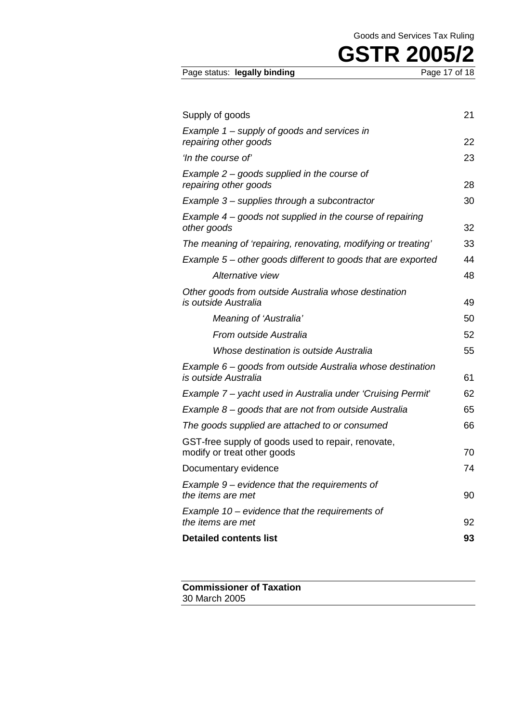| Page status: legally binding | Page 17 of 18 |
|------------------------------|---------------|
|                              |               |

| Supply of goods                                                                    | 21 |
|------------------------------------------------------------------------------------|----|
| Example 1 - supply of goods and services in                                        |    |
| repairing other goods                                                              | 22 |
| 'In the course of'                                                                 | 23 |
| Example $2$ – goods supplied in the course of<br>repairing other goods             | 28 |
| Example 3 – supplies through a subcontractor                                       | 30 |
| Example $4$ – goods not supplied in the course of repairing<br>other goods         | 32 |
| The meaning of 'repairing, renovating, modifying or treating'                      | 33 |
| Example 5 – other goods different to goods that are exported                       | 44 |
| Alternative view                                                                   | 48 |
| Other goods from outside Australia whose destination<br>is outside Australia       | 49 |
| Meaning of 'Australia'                                                             | 50 |
| From outside Australia                                                             | 52 |
| Whose destination is outside Australia                                             | 55 |
| Example 6 – goods from outside Australia whose destination<br>is outside Australia | 61 |
| Example 7 – yacht used in Australia under 'Cruising Permit'                        | 62 |
| Example $8$ – goods that are not from outside Australia                            | 65 |
| The goods supplied are attached to or consumed                                     | 66 |
| GST-free supply of goods used to repair, renovate,<br>modify or treat other goods  | 70 |
| Documentary evidence                                                               | 74 |
| Example 9 – evidence that the requirements of<br>the items are met                 | 90 |
| Example $10$ – evidence that the requirements of<br>the items are met              | 92 |
| <b>Detailed contents list</b>                                                      | 93 |
|                                                                                    |    |

**Commissioner of Taxation** 30 March 2005